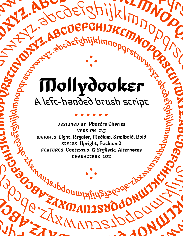# Mollydooker A left-handed brush script . . . . . . abcdefghijklmnopqrstquwyz. Beckliftling and Aleft Read ABCDEFGHIJKLMNOPORS OPPORTUNITY WARD ABCDEFGhijklmnopqrstuvWOOC opportunity of the control of ghinopapy (11) 11 Hydrey

. . . **.**<br>●

DESIGNED BY Phaedra Charles VERSION 0.3 WEIGHTS Light, Regular, Medium, Semibold, Bold STYLES Upright, Backhand FEATURES Contextual & Stylistic Alternates CHARACTERS 102 WEIGHTS Light, Regular, Medium, Semibold, Bold<br>
stytes Upright, Backhand<br>
FEATURES Contextual & Stylistic Alternates<br>
CHARACTERS 102 RADORO RADORO RADIA DESIGNED DESIGNED BY Phaedra Charles<br>
VERSION 0.3<br>
WEIGHT, Regular, Medium, Semibold, Bold<br>
STATES Upright, Backband<br>
FEATURES Contextual & Stylistic Alternates<br>
CHARACTERS 102<br>
CHARACTERS 102<br>
CHARACTERS 102<br>
CHARACTERS 1 **Zimber Construction** BERGES WEIGHT SERIOR ON WARRANTY CONDUCT CONDUCT CONDUCT CONDUCT CONDUCT CONDUCT CONDUCT CONDUCT CONDUCT CONDUCT CONDUCT CONDUCT CONDUCT CONDUCT CONDUCT CONDUCT CONDUCT CONDUCT CONDUCT CONDUCT CONDUCT CONDUCT CONDUCT CONDU

j<br>J

.

BODER CALL MARINE

**W** 

**DEAD** 

 $\blacksquare$ 

. . . **.**<br>●

 $M_{\rm H_{\rm J}}$ 

N

 $\frac{1}{2}$ 

OPPROFIT WATER

xy apqonmlxling 36ode 1/2

 $\frac{1}{2}$ 

RWWWD32

TRM N DS ROUNDAY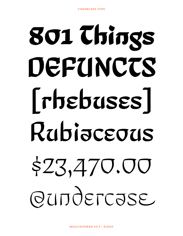# 801 Chings DEFUNCTS [rhebuses] Rubiaceous \$23,470.00 QUIJQELC92E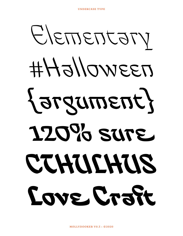Elementary #Halloween {argument} 120% sure CTHULHUS Love Craft

MOLLYDOOKER V0.3 • ©2020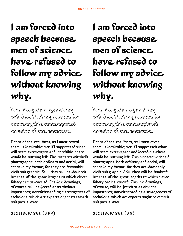### I am forced into speech because men of science have refused to follow my advice without knowing why.

It is altogether against my will that I tell my reasons for opposing this contemplated invasion of the antarctic.

Doubt of the real facts, as I must reveal them, is inevitable; yet if I suppressed what will seem extravagant and incredible there would be nothing left. The hitherto withheld photographs, both ordinary and aerial, will count in my favour; for they are damnably vivid and graphic. Still, they will be doubted because of the great lengths to which clever fakery can be carried. The ink drawings, of course, will be jeered at as obvious impostures; notwithstanding a strangeness of technique which art experts ought to remark and puzzle over.

### I am forced into speech because men of science have refused to follow my advice without knowing why.

It is altogether against my will that I tell my reasons for opposing this contemplated invasion of the antarctic.

Doubt of the real facts, as I must reveal them, is inevitable; yet if I suppressed what will seem extravagant and incredible there would be nothing left. The hitherto withheld photographs, both ordinary and aerial, will count in my favour; for they are damnably vivid and graphic. Still, they will be doubted because of the great lengths to which clever fakery can be carried. The ink drawings, of course, will be jeered at as obvious impostures; notwithstanding a strangeness of technique which art experts ought to remark and puzzle over.

STYLISTIC SET (ON)

#### STYLISTIC SET (OFF)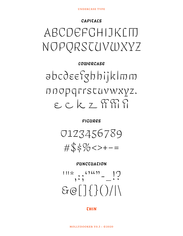#### CAPITALS

# ABCDEFGHIJKLIT NOPORSCUVWXYZ

### **LOWERCASE** abcdeefghhijklmm DDOPQTrstuvwxyz.  $ECKZ$   $TFT$

**FIGURES** 



#### PUNCTUATION

 $111*$  (14) – 17  $GQ[T\}()$ 

**THIN**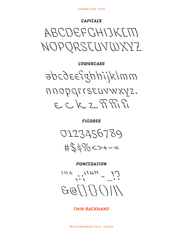#### *CHIN BACKHAND*

 $111*$   $11111 - 17$  $11177782$ 

PUNCTUATION



**FIGURES** 

mmlz/inhtp?as6odG DNOPOTISTUVWXYZ. 

**LOWERCASE** 

ABCDEFCHIJKLITI NOPORSTUVWXYZ

CAPITALS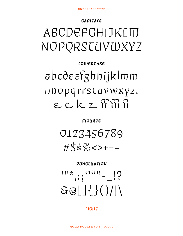#### **CIGHT**

# $111*$ ,  $\frac{111*}{11!}$  $GQ[1\{3()}/1]$

 $\#$ \$\$%<>+-=

PUNCTUATION

**FIGURES** 

0123456789

# $\delta$ abcd $\epsilon$ efghhijklmm nnopqrrstuvwxyz.  $ECKZ$   $T$  $R$  $R$  $R$

### CAPITALS ABCDEFGHIJKLIT NOPORSTUVWXYZ

**LOWERCASE**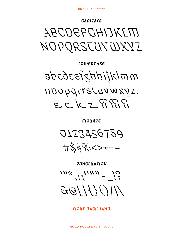#### *CIGHT BACKHAND*

 $111*$  (11/11) - 17  $11177793$ 

PUNCTUATION

0123456789  $+550052+--$ 

**FIGURES** 

mmlxjiddefytyliklmm nnopgristuvwxyz.  $PPRZZZZZZ$ 

**LOWERCASE** 

ABCDEFCHIJKLITI NOPORSTUVWXYZ

CAPITALS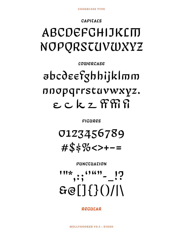REGULAR

 $\frac{111*}{111}$ ,  $\frac{1111!}{1111}$  $E[1(1)]$ 

PUNCTUATION

0123456789  $#$ \$\$%<>+-=

**FIGURES** 

# $\delta$ bcdeefghhijklmm nnopqrrstuvwxyz.  $\epsilon$   $c$   $k$   $z$   $\mathcal{C}$   $\mathcal{C}$   $\mathcal{C}$

**LOWERCASE** 

# ABCDEFGHIJKLIT NOPQRSTUVWXYZ

CAPITALS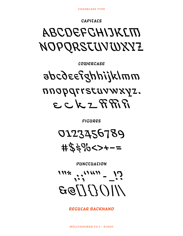REGULAR BACKHAND

 $111*$  (1111) - 17  $11177793$ 

PUNCTUATION

0123456789  $#25\% < > + - =$ 

**FIGURES** 

# mmldjiddgasdsda nnopgrrstuvwxyz.  $E C k z F R R$

LOWERCASE

# *ABCOEFCHIJKLITI* NOPQRSTUVWXYZ

CAPITALS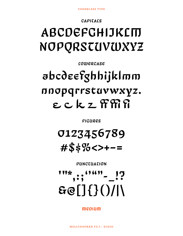$m$ ediam

 $111*$ ,  $(111!)$   $17$  $EQ[1\{3\})/|1$ 

PUNCTUATION

### 0123456789  $# $$ \$}% <>+-=

**FIGURES** 

# abcdeefghhijklmm nnopqrrstuvwxyz.  $\epsilon$   $c$   $k$   $z$   $\mathcal{R}\mathcal{R}\mathcal{R}$

**LOWERCASE** 

# ABCDEFGHIJKLITI NOPQRSTUVWXYZ

**UNDERCASE TYPE** 

CAPITALS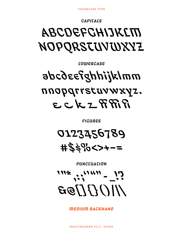**MEDIUM BACKHAND** 

 $111*$  (1111) - 12  $11177793$ 

PUNCTUATION

0123456789  $#25\%<<$ >+-=

FICURES

# mmlxliddgfas6odr nnopgrrstuvwxyz.  $ECLZFRR$

LOWERCASE

# *ABCOEFCHIJKLITI* NOPQRSTUVWXYZ

CAPITALS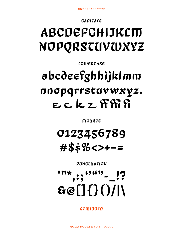SEMIBOLD

 $60[1\{3(1/1)$ 

PUNCTUATION

### 0123456789  $#$ \$\$%<>+-=

**FIGURES** 

# abcdeefghhijklmm nnopqrrstuvwxyz.  $\epsilon$   $c$   $k$   $z$   $\mathcal{R}\mathcal{R}\mathcal{R}$

**LOWERCASE** 

# ABCDEFGHIJKLITI NOPQRSTUVWXYZ

CAPITALS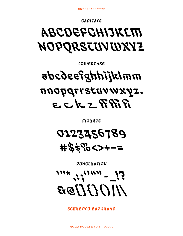SEITIBOLD BACKHAND



PUNCTUATION

0123456789 #\$\$%<>+-=

FIGURES

# mmlyjiddgesoda nnopgrrstuvwxyz.  $ECLZFRR$

LOWERCASE

# *ABCDEFCHIJKLIN* NOPORSTUVWXYZ

CAPITALS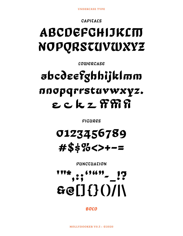#### **BOLD**

# $\frac{114}{111}$  ,  $\frac{11}{111}$  ,  $\frac{11}{111}$  ,  $\frac{11}{111}$  $Be[]$ {}()/|\

PUNCTUATION

### 0123456789  $\#$ \$\$%<>+-=

**FIGURES** 

# abcdeefghhijklmm nnopqrrstuvwxyz.  $\boldsymbol{\epsilon}$   $\boldsymbol{\epsilon}$   $\boldsymbol{k}$   $\boldsymbol{\tau}$   $\boldsymbol{\Re}$   $\boldsymbol{\Re}$

**LOWERCASE** 

# ABCDEFGHIJKLTT NOPQRSTUVWXYZ

CAPITALS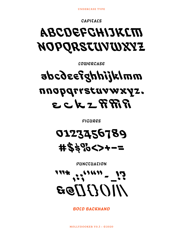**BOLD BACKHAND** 



PUNCTUATION

0123456789 #\$\$%<>+-=

FIGURES

# mmlxliddgfas6ada nnopgrrstuvwxyz.  $RFRZ$

LOWERCASE

# *ABCDEFCHIJKLID* NOPQRSTUVWXYZ

CAPITALS